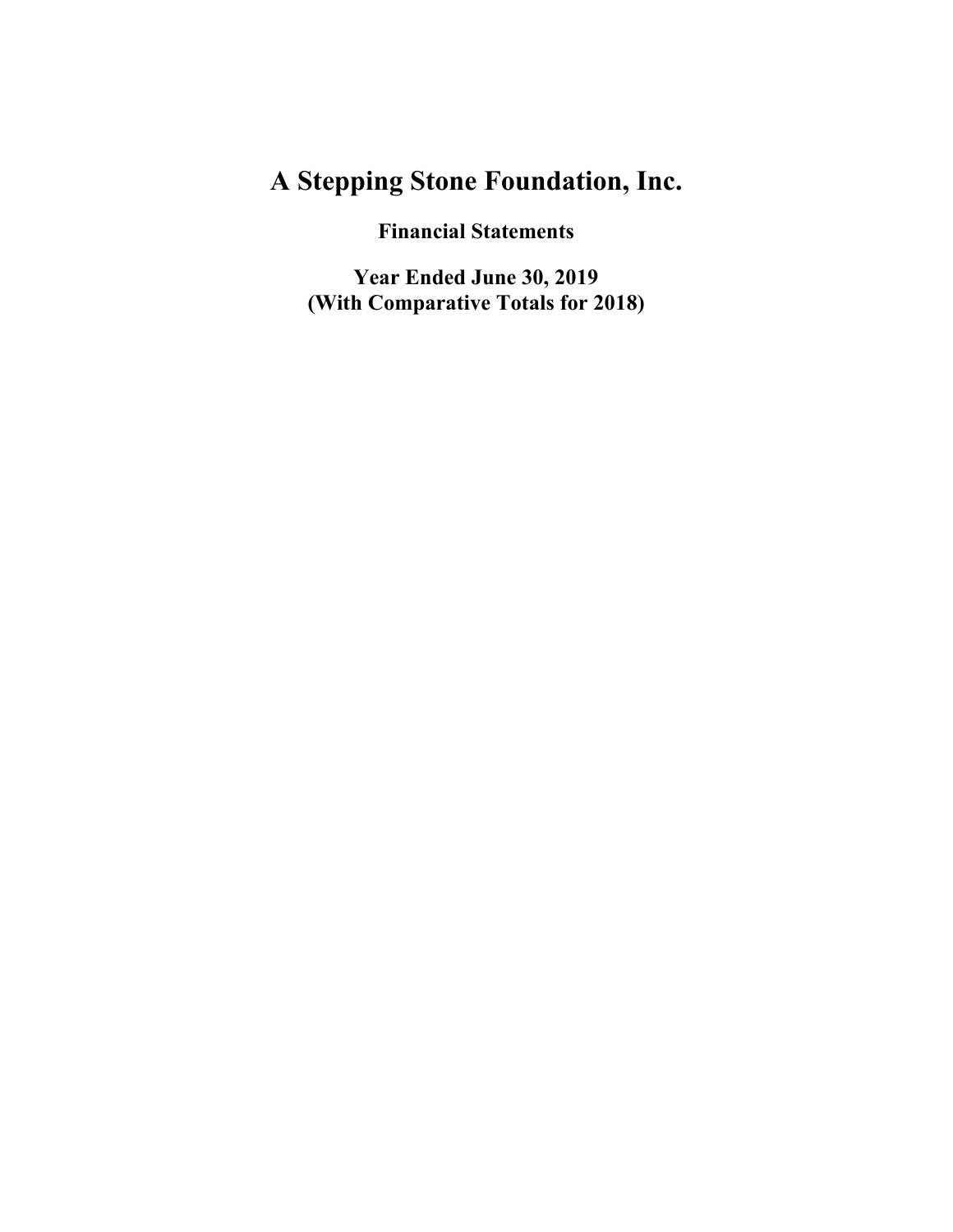**Financial Statements**

**Year Ended June 30, 2019 (With Comparative Totals for 2018)**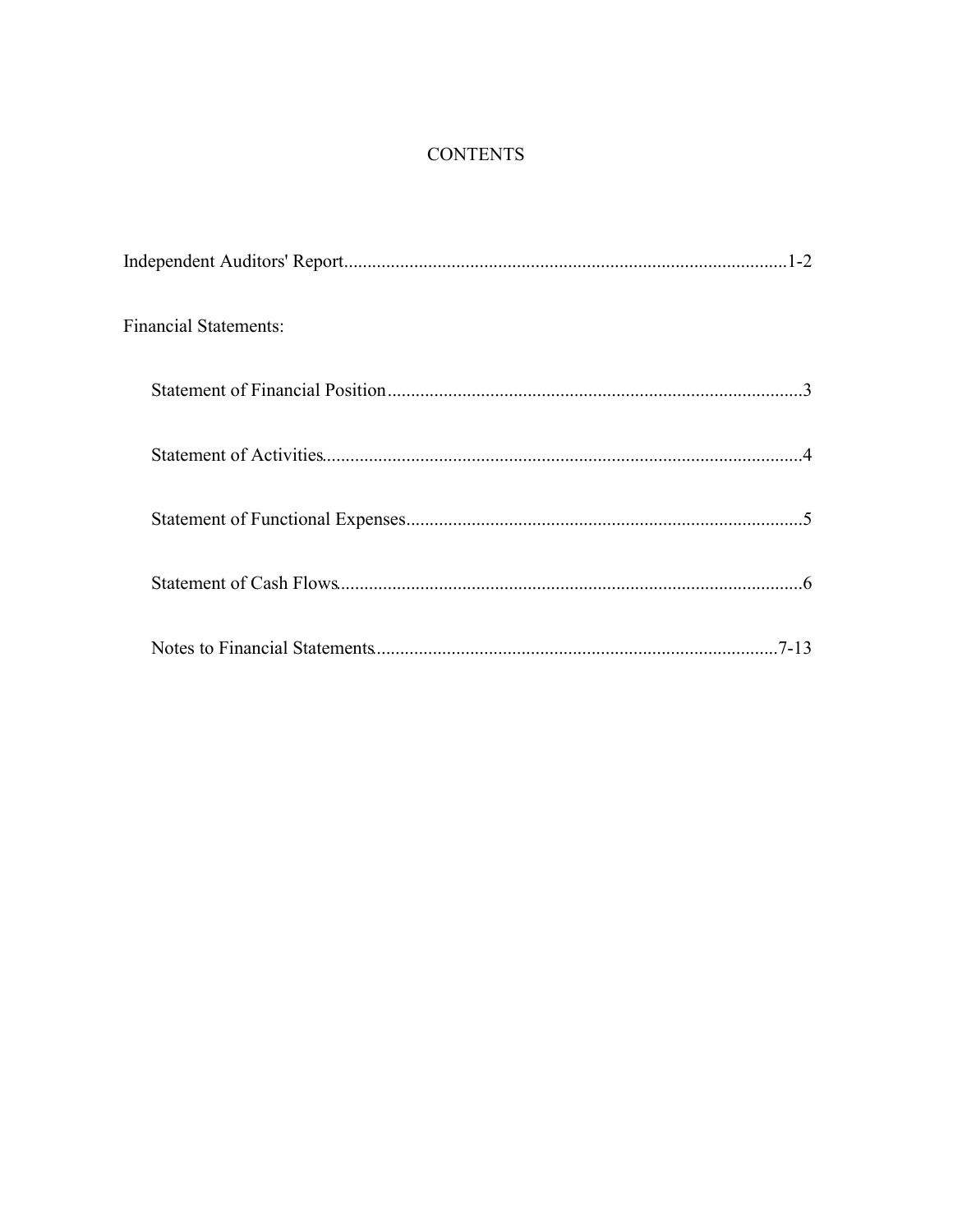## **CONTENTS**

| <b>Financial Statements:</b> |
|------------------------------|
|                              |
|                              |
|                              |
|                              |
|                              |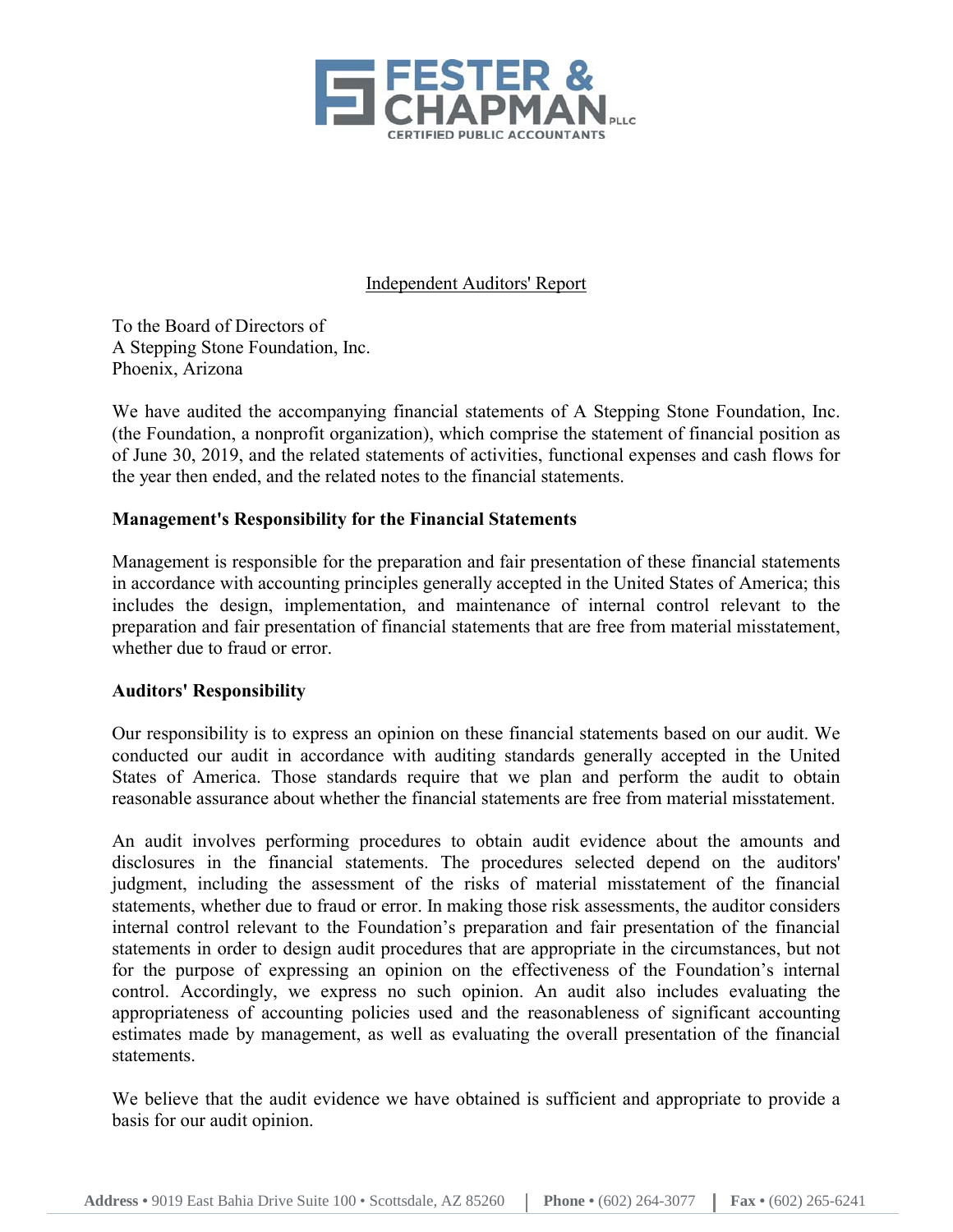

## Independent Auditors' Report

To the Board of Directors of A Stepping Stone Foundation, Inc. Phoenix, Arizona

We have audited the accompanying financial statements of A Stepping Stone Foundation, Inc. (the Foundation, a nonprofit organization), which comprise the statement of financial position as of June 30, 2019, and the related statements of activities, functional expenses and cash flows for the year then ended, and the related notes to the financial statements.

## **Management's Responsibility for the Financial Statements**

Management is responsible for the preparation and fair presentation of these financial statements in accordance with accounting principles generally accepted in the United States of America; this includes the design, implementation, and maintenance of internal control relevant to the preparation and fair presentation of financial statements that are free from material misstatement, whether due to fraud or error.

## **Auditors' Responsibility**

Our responsibility is to express an opinion on these financial statements based on our audit. We conducted our audit in accordance with auditing standards generally accepted in the United States of America. Those standards require that we plan and perform the audit to obtain reasonable assurance about whether the financial statements are free from material misstatement.

An audit involves performing procedures to obtain audit evidence about the amounts and disclosures in the financial statements. The procedures selected depend on the auditors' judgment, including the assessment of the risks of material misstatement of the financial statements, whether due to fraud or error. In making those risk assessments, the auditor considers internal control relevant to the Foundation's preparation and fair presentation of the financial statements in order to design audit procedures that are appropriate in the circumstances, but not for the purpose of expressing an opinion on the effectiveness of the Foundation's internal control. Accordingly, we express no such opinion. An audit also includes evaluating the appropriateness of accounting policies used and the reasonableness of significant accounting estimates made by management, as well as evaluating the overall presentation of the financial statements.

We believe that the audit evidence we have obtained is sufficient and appropriate to provide a basis for our audit opinion.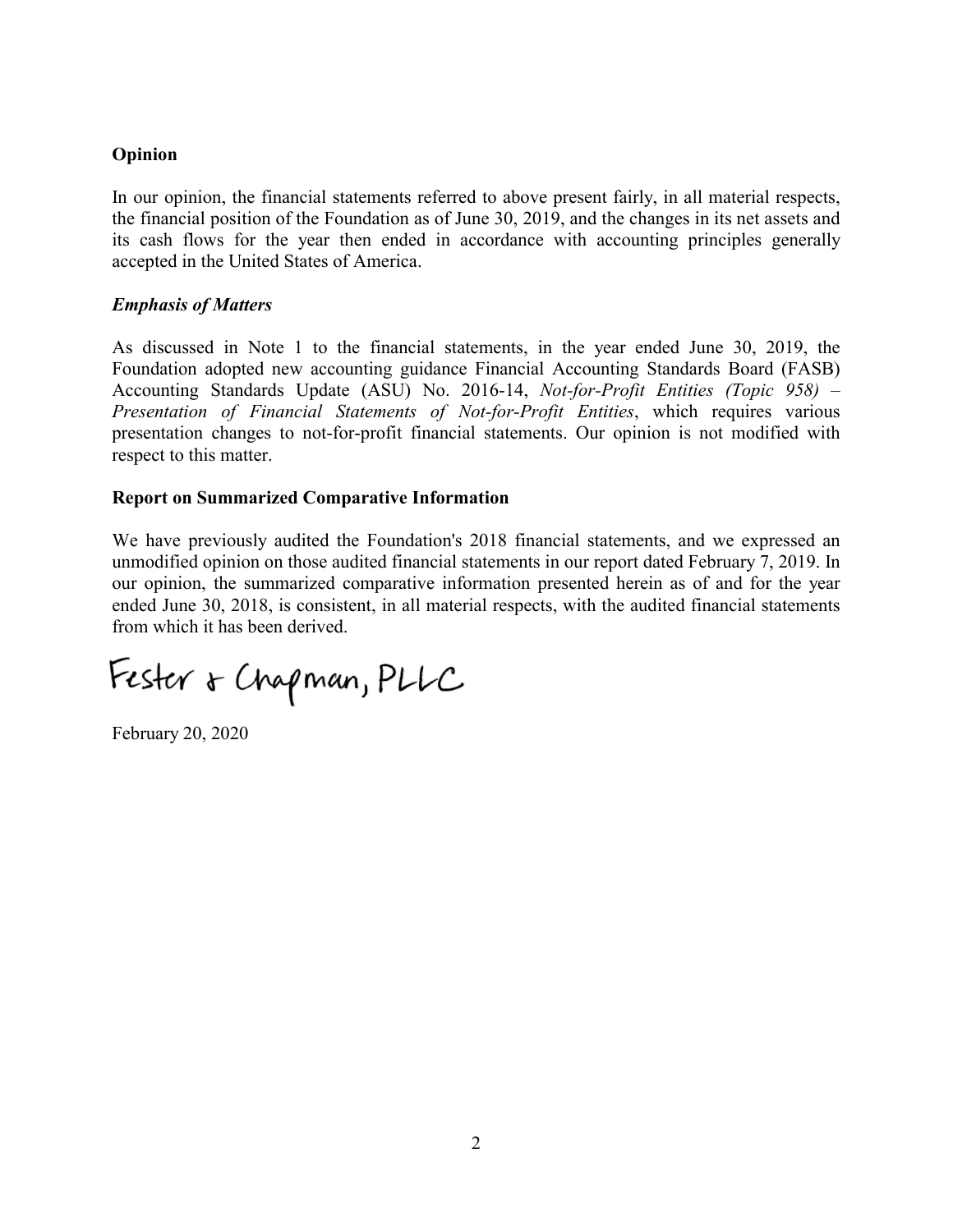## **Opinion**

In our opinion, the financial statements referred to above present fairly, in all material respects, the financial position of the Foundation as of June 30, 2019, and the changes in its net assets and its cash flows for the year then ended in accordance with accounting principles generally accepted in the United States of America.

## *Emphasis of Matters*

As discussed in Note 1 to the financial statements, in the year ended June 30, 2019, the Foundation adopted new accounting guidance Financial Accounting Standards Board (FASB) Accounting Standards Update (ASU) No. 2016-14, *Not-for-Profit Entities (Topic 958) – Presentation of Financial Statements of Not-for-Profit Entities*, which requires various presentation changes to not-for-profit financial statements. Our opinion is not modified with respect to this matter.

#### **Report on Summarized Comparative Information**

We have previously audited the Foundation's 2018 financial statements, and we expressed an unmodified opinion on those audited financial statements in our report dated February 7, 2019. In our opinion, the summarized comparative information presented herein as of and for the year ended June 30, 2018, is consistent, in all material respects, with the audited financial statements from which it has been derived.

Fester & Chapman, PLLC

February 20, 2020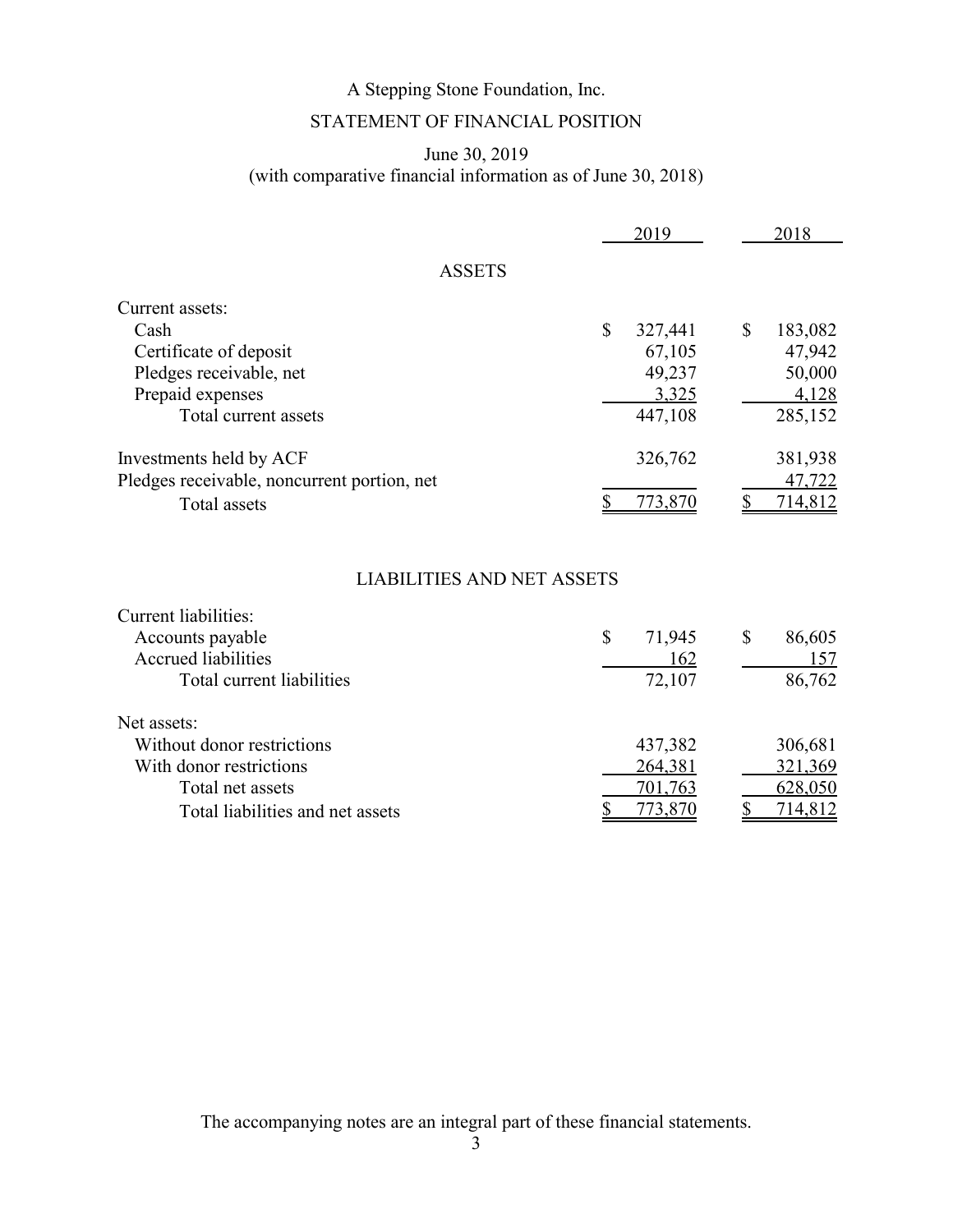## STATEMENT OF FINANCIAL POSITION

## June 30, 2019 (with comparative financial information as of June 30, 2018)

|                                             | 2019          | 2018          |
|---------------------------------------------|---------------|---------------|
| <b>ASSETS</b>                               |               |               |
| Current assets:                             |               |               |
| Cash                                        | \$<br>327,441 | \$<br>183,082 |
| Certificate of deposit                      | 67,105        | 47,942        |
| Pledges receivable, net                     | 49,237        | 50,000        |
| Prepaid expenses                            | 3,325         | 4,128         |
| Total current assets                        | 447,108       | 285,152       |
| Investments held by ACF                     | 326,762       | 381,938       |
| Pledges receivable, noncurrent portion, net |               | 47,722        |
| Total assets                                | 773,870       | 714,812       |

## LIABILITIES AND NET ASSETS

| Current liabilities:             |              |              |
|----------------------------------|--------------|--------------|
| Accounts payable                 | \$<br>71,945 | 86,605<br>\$ |
| <b>Accrued liabilities</b>       | 162          | 157          |
| Total current liabilities        | 72,107       | 86,762       |
| Net assets:                      |              |              |
| Without donor restrictions       | 437,382      | 306,681      |
| With donor restrictions          | 264,381      | 321,369      |
| Total net assets                 | 701,763      | 628,050      |
| Total liabilities and net assets | 773.870      | 714,812      |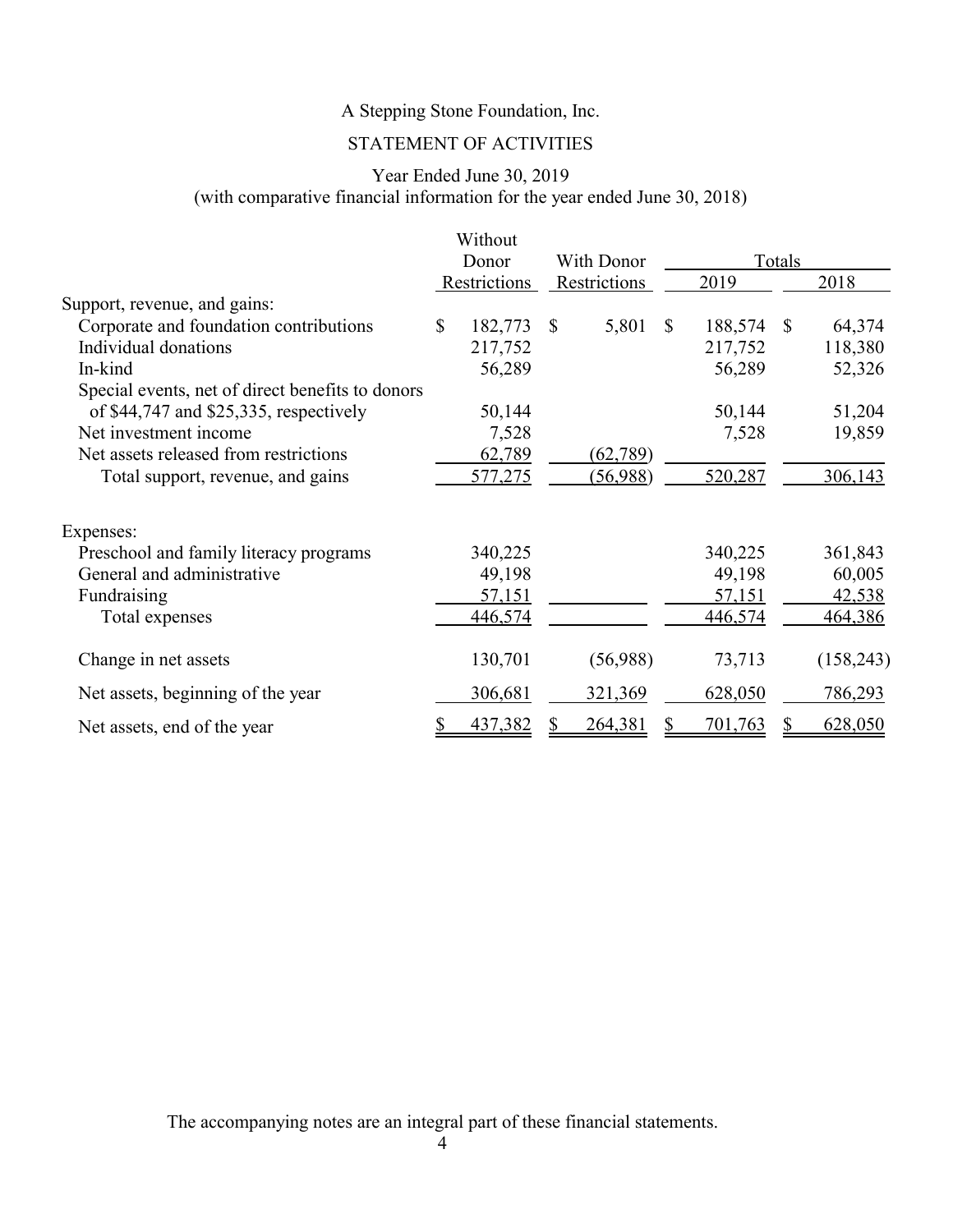## STATEMENT OF ACTIVITIES

## Year Ended June 30, 2019 (with comparative financial information for the year ended June 30, 2018)

|                                                  |              | Without       |              |              |               |         |              |            |        |  |
|--------------------------------------------------|--------------|---------------|--------------|--------------|---------------|---------|--------------|------------|--------|--|
|                                                  |              | Donor         | With Donor   |              |               |         |              |            | Totals |  |
|                                                  |              | Restrictions  |              | Restrictions |               | 2019    |              | 2018       |        |  |
| Support, revenue, and gains:                     |              |               |              |              |               |         |              |            |        |  |
| Corporate and foundation contributions           | $\mathbb{S}$ | 182,773       | $\mathbb{S}$ | 5,801        | <sup>\$</sup> | 188,574 | <sup>S</sup> | 64,374     |        |  |
| Individual donations                             |              | 217,752       |              |              |               | 217,752 |              | 118,380    |        |  |
| In-kind                                          |              | 56,289        |              |              |               | 56,289  |              | 52,326     |        |  |
| Special events, net of direct benefits to donors |              |               |              |              |               |         |              |            |        |  |
| of $$44,747$ and $$25,335$ , respectively        |              | 50,144        |              |              |               | 50,144  |              | 51,204     |        |  |
| Net investment income                            |              | 7,528         |              |              |               | 7,528   |              | 19,859     |        |  |
| Net assets released from restrictions            |              | 62,789        |              | (62, 789)    |               |         |              |            |        |  |
| Total support, revenue, and gains                |              | 577,275       |              | (56,988)     |               | 520,287 |              | 306,143    |        |  |
| Expenses:                                        |              |               |              |              |               |         |              |            |        |  |
| Preschool and family literacy programs           |              | 340,225       |              |              |               | 340,225 |              | 361,843    |        |  |
| General and administrative                       |              | 49,198        |              |              |               | 49,198  |              | 60,005     |        |  |
| Fundraising                                      |              | <u>57,151</u> |              |              |               | 57,151  |              | 42,538     |        |  |
| Total expenses                                   |              | 446,574       |              |              |               | 446,574 |              | 464,386    |        |  |
| Change in net assets                             |              | 130,701       |              | (56,988)     |               | 73,713  |              | (158, 243) |        |  |
| Net assets, beginning of the year                |              | 306,681       |              | 321,369      |               | 628,050 |              | 786,293    |        |  |
| Net assets, end of the year                      |              | 437,382       |              | 264,381      |               | 701,763 |              | 628,050    |        |  |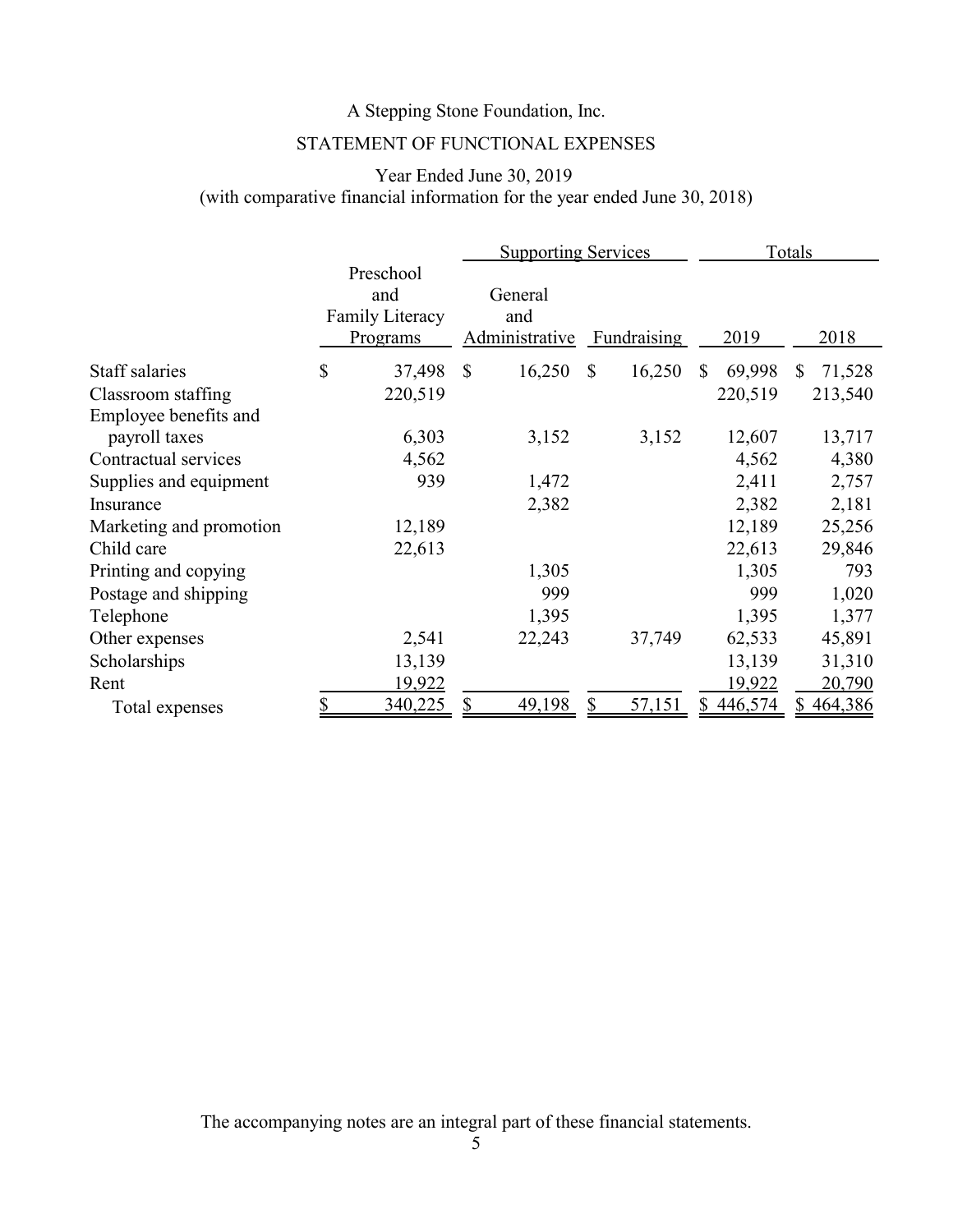## STATEMENT OF FUNCTIONAL EXPENSES

## Year Ended June 30, 2019 (with comparative financial information for the year ended June 30, 2018)

|                         |                                                 | <b>Supporting Services</b>       |                        |                | Totals       |
|-------------------------|-------------------------------------------------|----------------------------------|------------------------|----------------|--------------|
|                         | Preschool<br>and<br>Family Literacy<br>Programs | General<br>and<br>Administrative | <b>Fundraising</b>     | 2019           | 2018         |
| Staff salaries          | \$<br>37,498                                    | $\mathbb{S}$<br>16,250           | $\mathbb{S}$<br>16,250 | 69,998<br>\$   | 71,528<br>S. |
| Classroom staffing      | 220,519                                         |                                  |                        | 220,519        | 213,540      |
| Employee benefits and   |                                                 |                                  |                        |                |              |
| payroll taxes           | 6,303                                           | 3,152                            | 3,152                  | 12,607         | 13,717       |
| Contractual services    | 4,562                                           |                                  |                        | 4,562          | 4,380        |
| Supplies and equipment  | 939                                             | 1,472                            |                        | 2,411          | 2,757        |
| Insurance               |                                                 | 2,382                            |                        | 2,382          | 2,181        |
| Marketing and promotion | 12,189                                          |                                  |                        | 12,189         | 25,256       |
| Child care              | 22,613                                          |                                  |                        | 22,613         | 29,846       |
| Printing and copying    |                                                 | 1,305                            |                        | 1,305          | 793          |
| Postage and shipping    |                                                 | 999                              |                        | 999            | 1,020        |
| Telephone               |                                                 | 1,395                            |                        | 1,395          | 1,377        |
| Other expenses          | 2,541                                           | 22,243                           | 37,749                 | 62,533         | 45,891       |
| Scholarships            | 13,139                                          |                                  |                        | 13,139         | 31,310       |
| Rent                    | 19,922                                          |                                  |                        | <u> 19,922</u> | 20,790       |
| Total expenses          | 340,225                                         | 49,198                           | 57,151                 | 446,574        | 464,386      |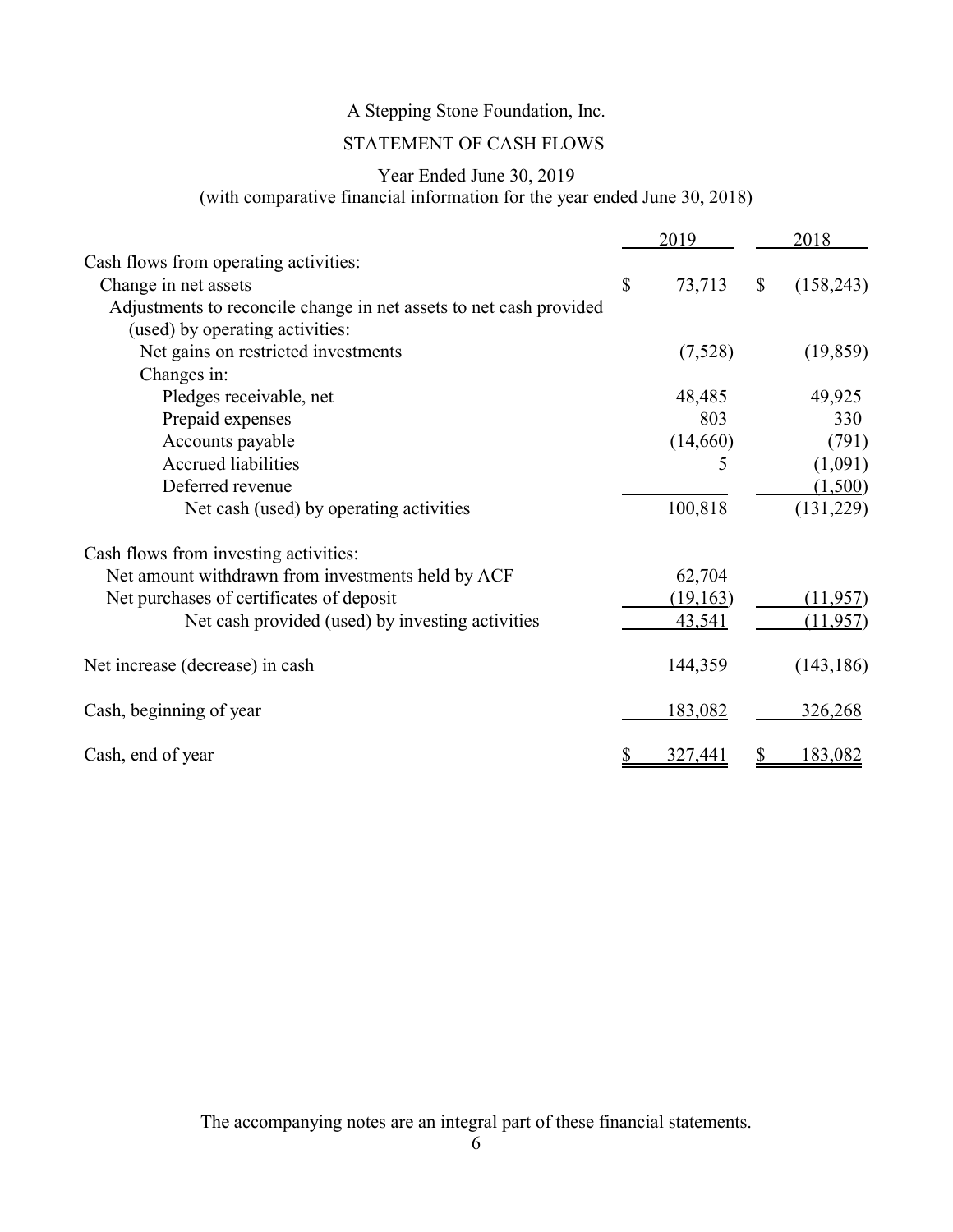## STATEMENT OF CASH FLOWS

## Year Ended June 30, 2019

(with comparative financial information for the year ended June 30, 2018)

|                                                                    |                           | 2019      |                           | 2018       |
|--------------------------------------------------------------------|---------------------------|-----------|---------------------------|------------|
| Cash flows from operating activities:                              |                           |           |                           |            |
| Change in net assets                                               | $\boldsymbol{\mathsf{S}}$ | 73,713    | $\boldsymbol{\mathsf{S}}$ | (158, 243) |
| Adjustments to reconcile change in net assets to net cash provided |                           |           |                           |            |
| (used) by operating activities:                                    |                           |           |                           |            |
| Net gains on restricted investments                                |                           | (7,528)   |                           | (19, 859)  |
| Changes in:                                                        |                           |           |                           |            |
| Pledges receivable, net                                            |                           | 48,485    |                           | 49,925     |
| Prepaid expenses                                                   |                           | 803       |                           | 330        |
| Accounts payable                                                   |                           | (14,660)  |                           | (791)      |
| <b>Accrued liabilities</b>                                         |                           | 5         |                           | (1,091)    |
| Deferred revenue                                                   |                           |           |                           | (1,500)    |
| Net cash (used) by operating activities                            |                           | 100,818   |                           | (131,229)  |
| Cash flows from investing activities:                              |                           |           |                           |            |
| Net amount withdrawn from investments held by ACF                  |                           | 62,704    |                           |            |
| Net purchases of certificates of deposit                           |                           | (19, 163) |                           | (11, 957)  |
| Net cash provided (used) by investing activities                   |                           | 43,541    |                           | (11, 957)  |
| Net increase (decrease) in cash                                    |                           | 144,359   |                           | (143, 186) |
| Cash, beginning of year                                            |                           | 183,082   |                           | 326,268    |
| Cash, end of year                                                  |                           | 327,441   |                           | 183,082    |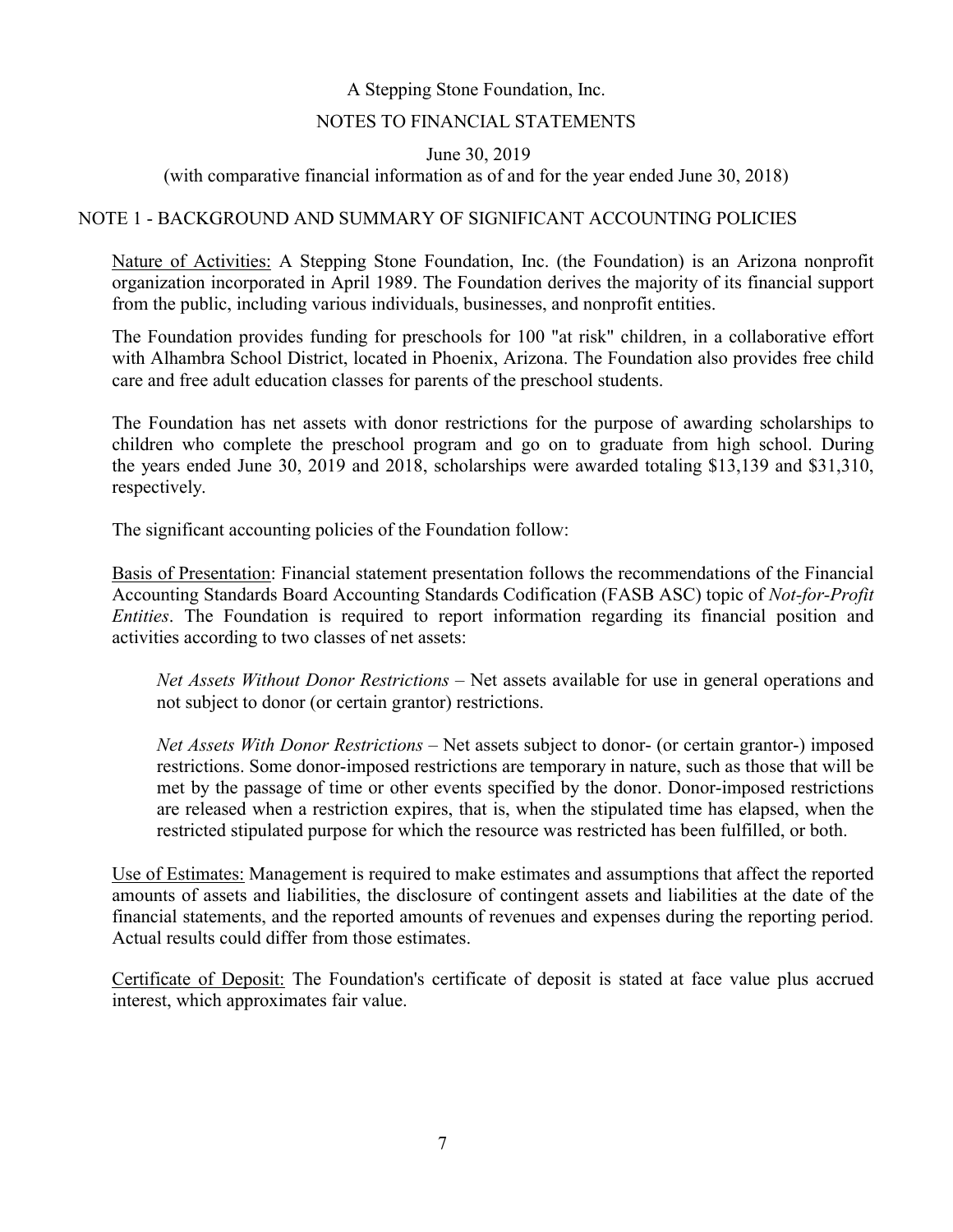#### NOTES TO FINANCIAL STATEMENTS

June 30, 2019

(with comparative financial information as of and for the year ended June 30, 2018)

#### NOTE 1 - BACKGROUND AND SUMMARY OF SIGNIFICANT ACCOUNTING POLICIES

Nature of Activities: A Stepping Stone Foundation, Inc. (the Foundation) is an Arizona nonprofit organization incorporated in April 1989. The Foundation derives the majority of its financial support from the public, including various individuals, businesses, and nonprofit entities.

The Foundation provides funding for preschools for 100 "at risk" children, in a collaborative effort with Alhambra School District, located in Phoenix, Arizona. The Foundation also provides free child care and free adult education classes for parents of the preschool students.

The Foundation has net assets with donor restrictions for the purpose of awarding scholarships to children who complete the preschool program and go on to graduate from high school. During the years ended June 30, 2019 and 2018, scholarships were awarded totaling \$13,139 and \$31,310, respectively.

The significant accounting policies of the Foundation follow:

Basis of Presentation: Financial statement presentation follows the recommendations of the Financial Accounting Standards Board Accounting Standards Codification (FASB ASC) topic of *Not-for-Profit Entities*. The Foundation is required to report information regarding its financial position and activities according to two classes of net assets:

*Net Assets Without Donor Restrictions* – Net assets available for use in general operations and not subject to donor (or certain grantor) restrictions.

*Net Assets With Donor Restrictions* – Net assets subject to donor- (or certain grantor-) imposed restrictions. Some donor-imposed restrictions are temporary in nature, such as those that will be met by the passage of time or other events specified by the donor. Donor-imposed restrictions are released when a restriction expires, that is, when the stipulated time has elapsed, when the restricted stipulated purpose for which the resource was restricted has been fulfilled, or both.

Use of Estimates: Management is required to make estimates and assumptions that affect the reported amounts of assets and liabilities, the disclosure of contingent assets and liabilities at the date of the financial statements, and the reported amounts of revenues and expenses during the reporting period. Actual results could differ from those estimates.

Certificate of Deposit: The Foundation's certificate of deposit is stated at face value plus accrued interest, which approximates fair value.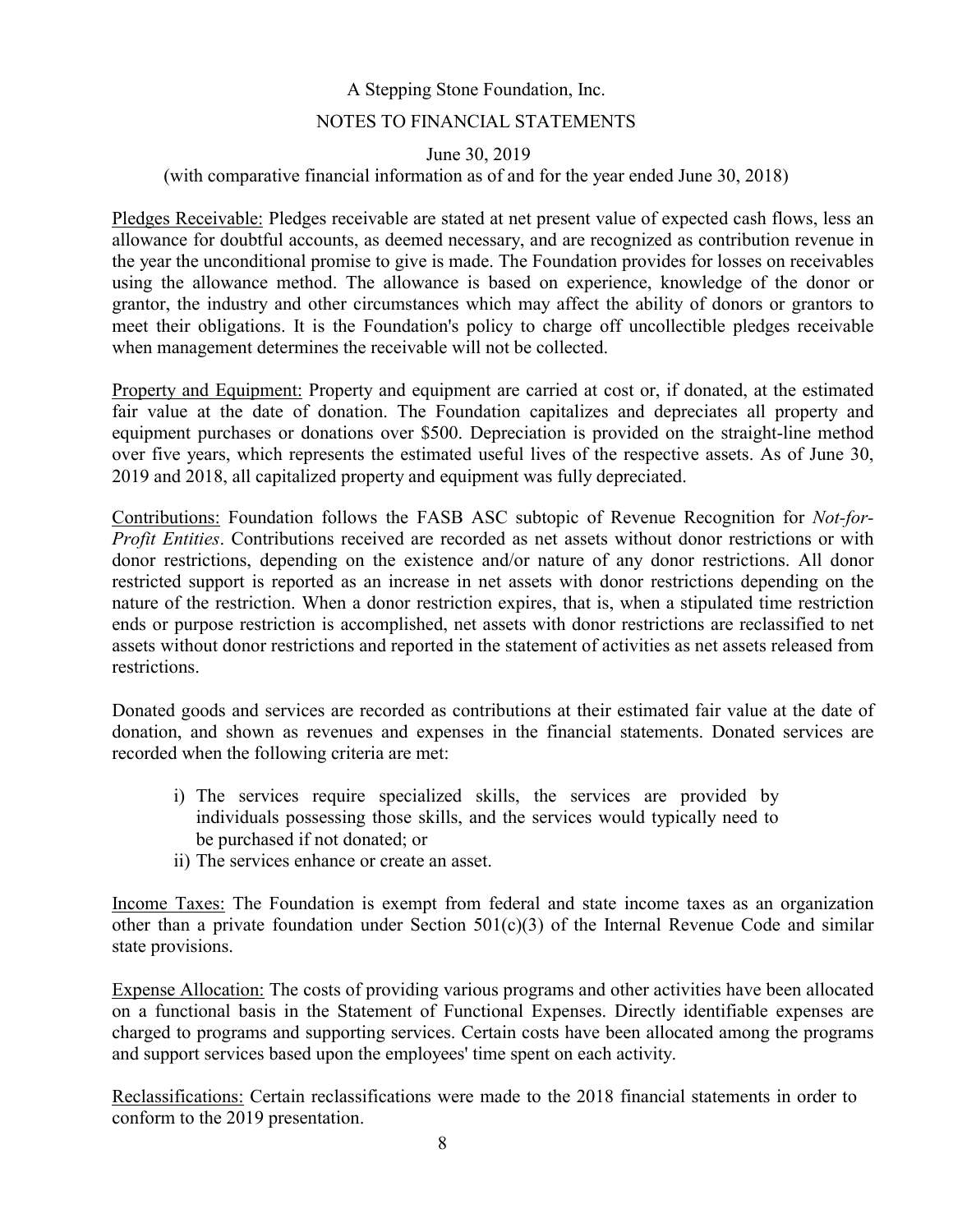#### NOTES TO FINANCIAL STATEMENTS

#### June 30, 2019

### (with comparative financial information as of and for the year ended June 30, 2018)

Pledges Receivable: Pledges receivable are stated at net present value of expected cash flows, less an allowance for doubtful accounts, as deemed necessary, and are recognized as contribution revenue in the year the unconditional promise to give is made. The Foundation provides for losses on receivables using the allowance method. The allowance is based on experience, knowledge of the donor or grantor, the industry and other circumstances which may affect the ability of donors or grantors to meet their obligations. It is the Foundation's policy to charge off uncollectible pledges receivable when management determines the receivable will not be collected.

Property and Equipment: Property and equipment are carried at cost or, if donated, at the estimated fair value at the date of donation. The Foundation capitalizes and depreciates all property and equipment purchases or donations over \$500. Depreciation is provided on the straight-line method over five years, which represents the estimated useful lives of the respective assets. As of June 30, 2019 and 2018, all capitalized property and equipment was fully depreciated.

Contributions: Foundation follows the FASB ASC subtopic of Revenue Recognition for *Not-for-Profit Entities*. Contributions received are recorded as net assets without donor restrictions or with donor restrictions, depending on the existence and/or nature of any donor restrictions. All donor restricted support is reported as an increase in net assets with donor restrictions depending on the nature of the restriction. When a donor restriction expires, that is, when a stipulated time restriction ends or purpose restriction is accomplished, net assets with donor restrictions are reclassified to net assets without donor restrictions and reported in the statement of activities as net assets released from restrictions.

Donated goods and services are recorded as contributions at their estimated fair value at the date of donation, and shown as revenues and expenses in the financial statements. Donated services are recorded when the following criteria are met:

- i) The services require specialized skills, the services are provided by individuals possessing those skills, and the services would typically need to be purchased if not donated; or
- ii) The services enhance or create an asset.

Income Taxes: The Foundation is exempt from federal and state income taxes as an organization other than a private foundation under Section  $501(c)(3)$  of the Internal Revenue Code and similar state provisions.

Expense Allocation: The costs of providing various programs and other activities have been allocated on a functional basis in the Statement of Functional Expenses. Directly identifiable expenses are charged to programs and supporting services. Certain costs have been allocated among the programs and support services based upon the employees' time spent on each activity.

Reclassifications: Certain reclassifications were made to the 2018 financial statements in order to conform to the 2019 presentation.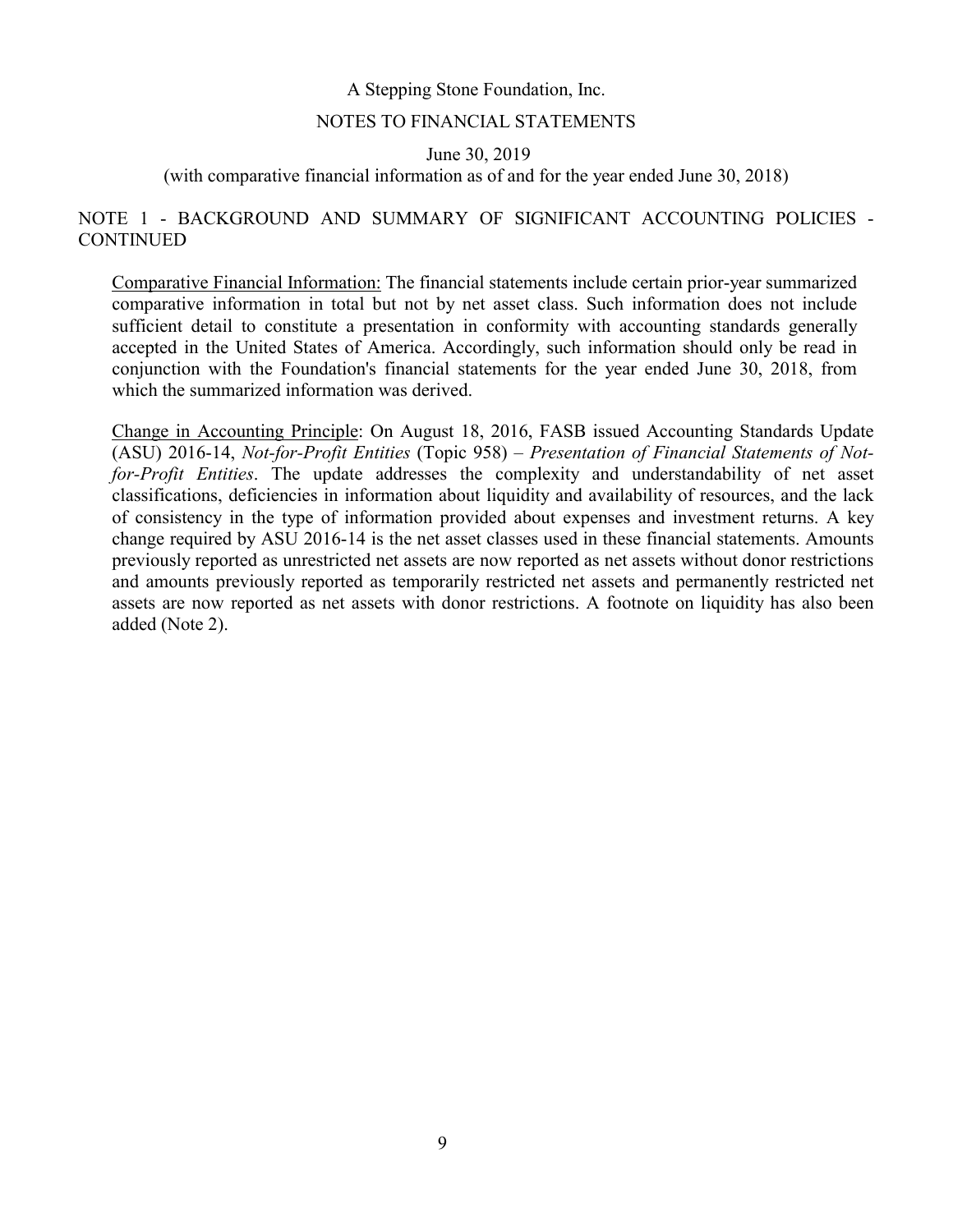#### NOTES TO FINANCIAL STATEMENTS

June 30, 2019

(with comparative financial information as of and for the year ended June 30, 2018)

## NOTE 1 - BACKGROUND AND SUMMARY OF SIGNIFICANT ACCOUNTING POLICIES - **CONTINUED**

Comparative Financial Information: The financial statements include certain prior-year summarized comparative information in total but not by net asset class. Such information does not include sufficient detail to constitute a presentation in conformity with accounting standards generally accepted in the United States of America. Accordingly, such information should only be read in conjunction with the Foundation's financial statements for the year ended June 30, 2018, from which the summarized information was derived.

Change in Accounting Principle: On August 18, 2016, FASB issued Accounting Standards Update (ASU) 2016-14, *Not-for-Profit Entities* (Topic 958) – *Presentation of Financial Statements of Notfor-Profit Entities*. The update addresses the complexity and understandability of net asset classifications, deficiencies in information about liquidity and availability of resources, and the lack of consistency in the type of information provided about expenses and investment returns. A key change required by ASU 2016-14 is the net asset classes used in these financial statements. Amounts previously reported as unrestricted net assets are now reported as net assets without donor restrictions and amounts previously reported as temporarily restricted net assets and permanently restricted net assets are now reported as net assets with donor restrictions. A footnote on liquidity has also been added (Note 2).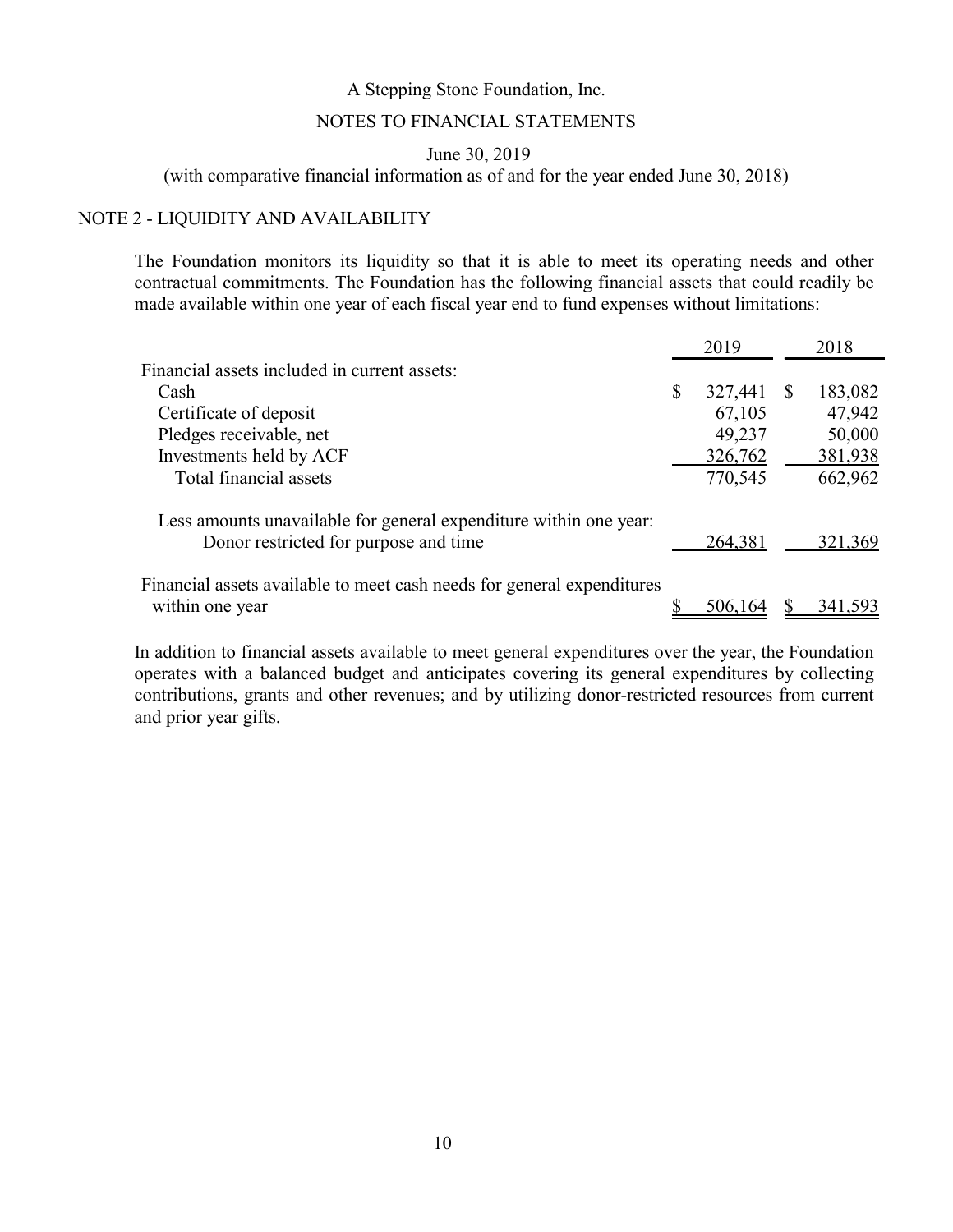#### NOTES TO FINANCIAL STATEMENTS

June 30, 2019

(with comparative financial information as of and for the year ended June 30, 2018)

#### NOTE 2 - LIQUIDITY AND AVAILABILITY

The Foundation monitors its liquidity so that it is able to meet its operating needs and other contractual commitments. The Foundation has the following financial assets that could readily be made available within one year of each fiscal year end to fund expenses without limitations:

|                                                                                                            | 2019          |              | 2018    |
|------------------------------------------------------------------------------------------------------------|---------------|--------------|---------|
| Financial assets included in current assets:                                                               |               |              |         |
| Cash                                                                                                       | \$<br>327,441 | <sup>8</sup> | 183,082 |
| Certificate of deposit                                                                                     | 67,105        |              | 47,942  |
| Pledges receivable, net                                                                                    | 49,237        |              | 50,000  |
| Investments held by ACF                                                                                    | 326,762       |              | 381,938 |
| Total financial assets                                                                                     | 770,545       |              | 662,962 |
| Less amounts unavailable for general expenditure within one year:<br>Donor restricted for purpose and time | 264,381       |              | 321,369 |
| Financial assets available to meet cash needs for general expenditures<br>within one year                  | 506,164       |              | 341,593 |

In addition to financial assets available to meet general expenditures over the year, the Foundation operates with a balanced budget and anticipates covering its general expenditures by collecting contributions, grants and other revenues; and by utilizing donor-restricted resources from current and prior year gifts.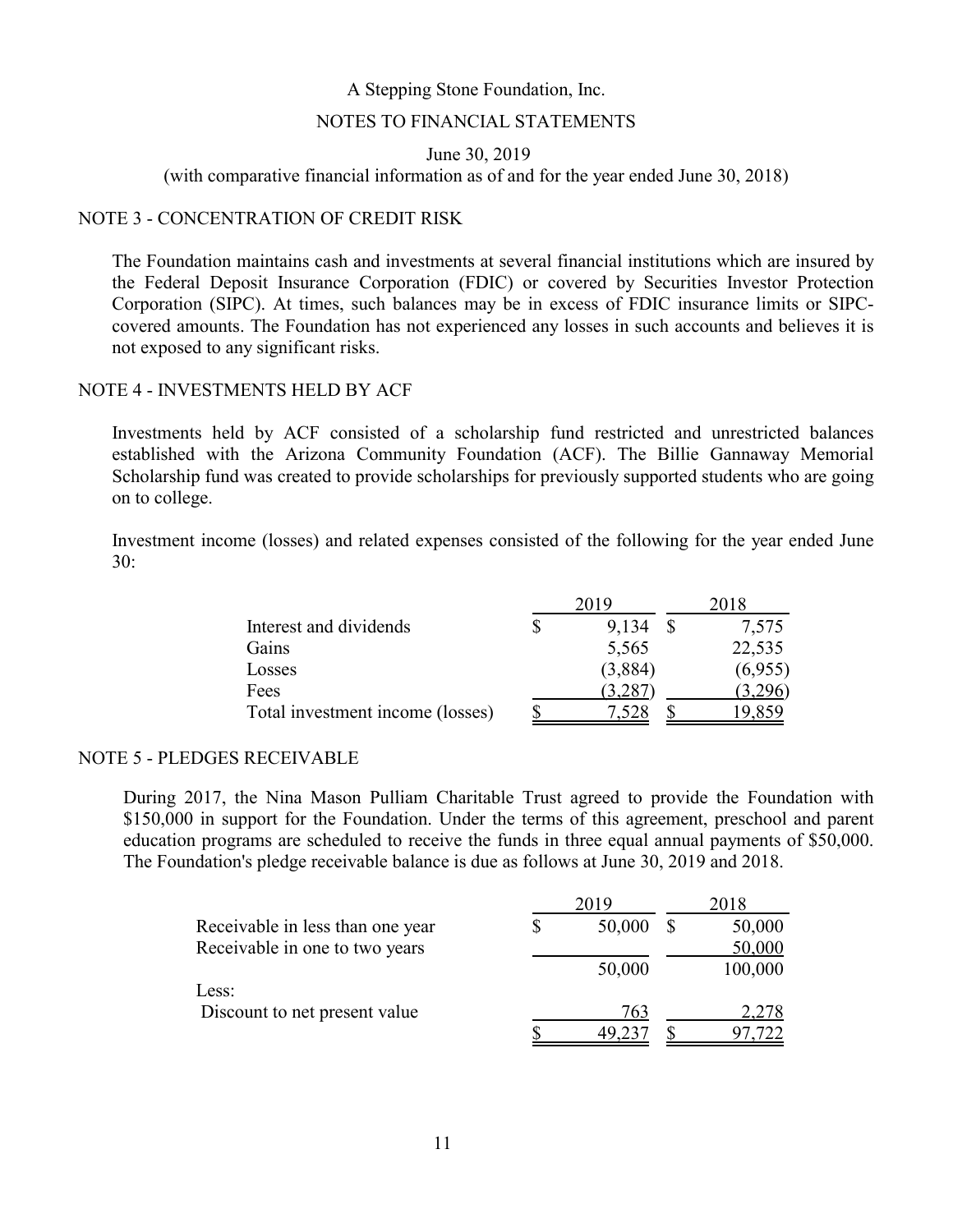#### NOTES TO FINANCIAL STATEMENTS

June 30, 2019

(with comparative financial information as of and for the year ended June 30, 2018)

#### NOTE 3 - CONCENTRATION OF CREDIT RISK

The Foundation maintains cash and investments at several financial institutions which are insured by the Federal Deposit Insurance Corporation (FDIC) or covered by Securities Investor Protection Corporation (SIPC). At times, such balances may be in excess of FDIC insurance limits or SIPCcovered amounts. The Foundation has not experienced any losses in such accounts and believes it is not exposed to any significant risks.

#### NOTE 4 - INVESTMENTS HELD BY ACF

Investments held by ACF consisted of a scholarship fund restricted and unrestricted balances established with the Arizona Community Foundation (ACF). The Billie Gannaway Memorial Scholarship fund was created to provide scholarships for previously supported students who are going on to college.

Investment income (losses) and related expenses consisted of the following for the year ended June 30:

|                                  |         | 2018 |         |  |
|----------------------------------|---------|------|---------|--|
| Interest and dividends           | 9,134   |      | 7,575   |  |
| Gains                            | 5,565   |      | 22,535  |  |
| Losses                           | (3,884) |      | (6,955) |  |
| Fees                             | 3,287   |      | (3,296) |  |
| Total investment income (losses) |         |      |         |  |

#### NOTE 5 - PLEDGES RECEIVABLE

During 2017, the Nina Mason Pulliam Charitable Trust agreed to provide the Foundation with \$150,000 in support for the Foundation. Under the terms of this agreement, preschool and parent education programs are scheduled to receive the funds in three equal annual payments of \$50,000. The Foundation's pledge receivable balance is due as follows at June 30, 2019 and 2018.

|                                  | 2019   |   | 2018    |
|----------------------------------|--------|---|---------|
| Receivable in less than one year | 50,000 | S | 50,000  |
| Receivable in one to two years   |        |   | 50,000  |
|                                  | 50,000 |   | 100,000 |
| Less:                            |        |   |         |
| Discount to net present value    | 763    |   | 2,278   |
|                                  |        |   |         |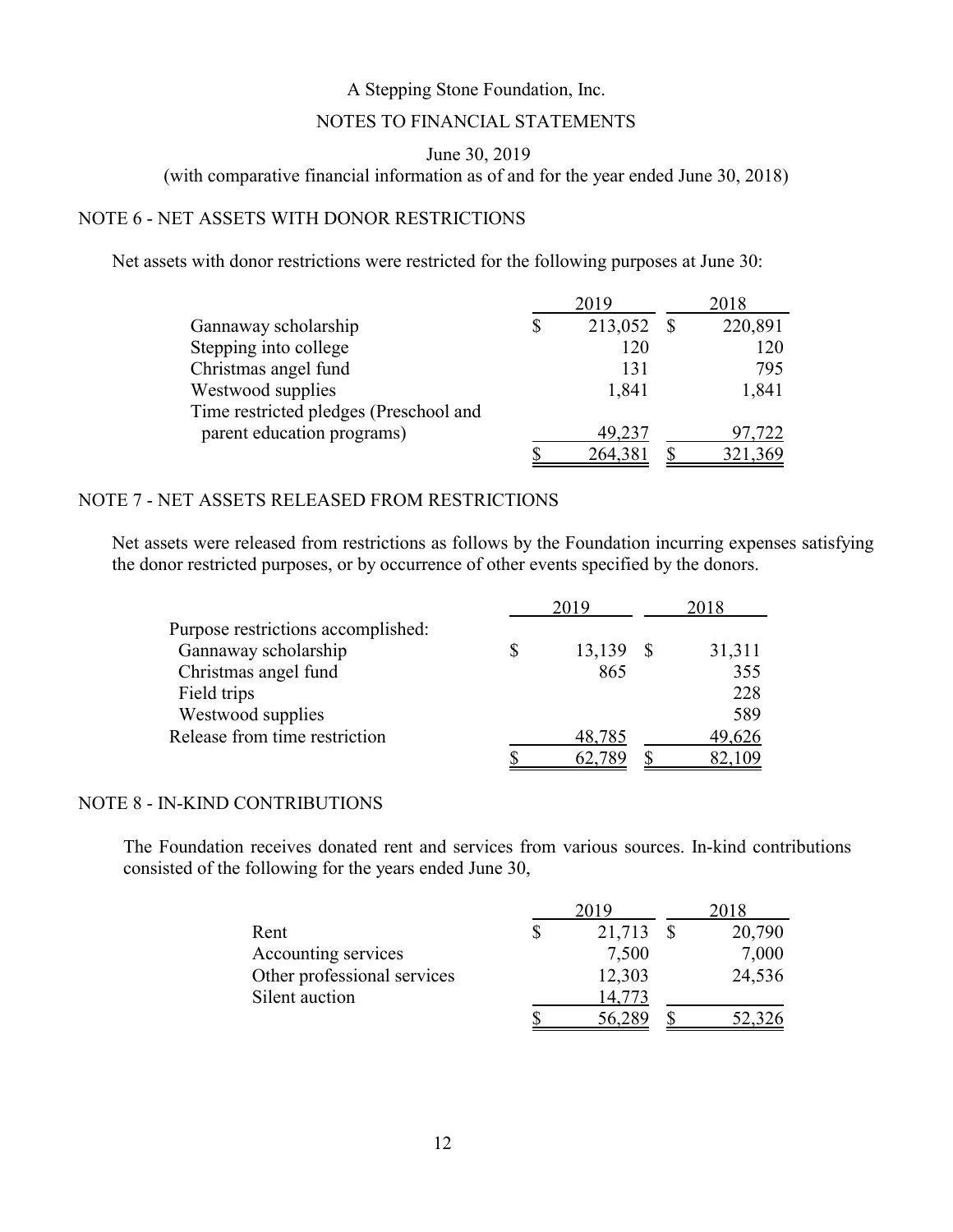## NOTES TO FINANCIAL STATEMENTS

## June 30, 2019

(with comparative financial information as of and for the year ended June 30, 2018)

## NOTE 6 - NET ASSETS WITH DONOR RESTRICTIONS

Net assets with donor restrictions were restricted for the following purposes at June 30:

|                                        | 2019          | 2018 |         |  |
|----------------------------------------|---------------|------|---------|--|
| Gannaway scholarship                   | \$<br>213,052 |      | 220,891 |  |
| Stepping into college                  | 120           |      | 120     |  |
| Christmas angel fund                   | 131           |      | 795     |  |
| Westwood supplies                      | 1,841         |      | 1,841   |  |
| Time restricted pledges (Preschool and |               |      |         |  |
| parent education programs)             | 49,237        |      | 97,722  |  |
|                                        | 264,38        |      | 321,369 |  |

## NOTE 7 - NET ASSETS RELEASED FROM RESTRICTIONS

Net assets were released from restrictions as follows by the Foundation incurring expenses satisfying the donor restricted purposes, or by occurrence of other events specified by the donors.

|                                    | 2019   | 2018   |
|------------------------------------|--------|--------|
| Purpose restrictions accomplished: |        |        |
| Gannaway scholarship               | 13,139 | 31,311 |
| Christmas angel fund               | 865    | 355    |
| Field trips                        |        | 228    |
| Westwood supplies                  |        | 589    |
| Release from time restriction      | 48,785 | 49,626 |
|                                    |        |        |

#### NOTE 8 - IN-KIND CONTRIBUTIONS

The Foundation receives donated rent and services from various sources. In-kind contributions consisted of the following for the years ended June 30,

|                             | 2019         |  |        |  |
|-----------------------------|--------------|--|--------|--|
| Rent                        | \$<br>21,713 |  | 20,790 |  |
| Accounting services         | 7,500        |  | 7,000  |  |
| Other professional services | 12,303       |  | 24,536 |  |
| Silent auction              | 14.773       |  |        |  |
|                             | 56,289       |  | 52,326 |  |